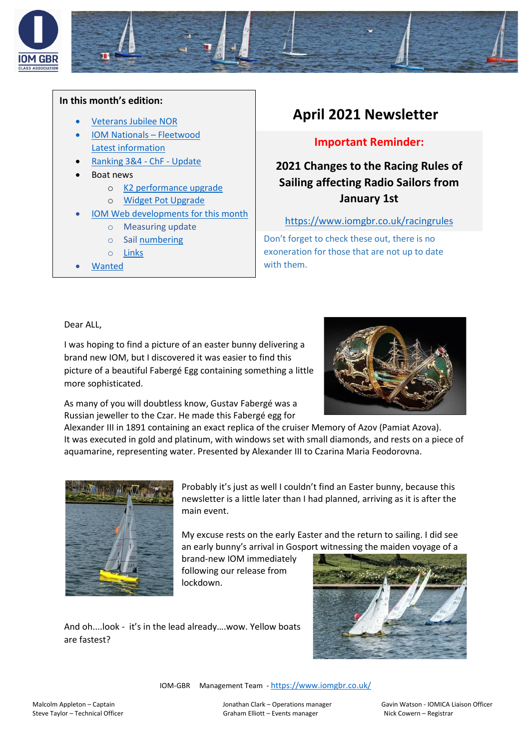

#### **In this month's edition:**

- [Veterans Jubilee NOR](#page-1-0)
- [IOM Nationals](#page-1-1)  Fleetwood [Latest information](#page-1-1)
- [Ranking 3&4 -](#page-1-1) ChF Update
- Boat news
	- o [K2 performance upgrade](#page-2-0)
	- o [Widget Pot Upgrade](#page-2-1)
	- [IOM Web developments for this month](#page-4-0)
	- o Measuring update
		- o Sail [numbering](https://06dd9b10-9188-44ea-b34d-e41ec7c1eef6.filesusr.com/ugd/fb01b5_fc01337f5b824c59ba0d1aa3ea51407a.pdf)
		- o [Links](https://www.iomgbr.co.uk/links)
	- [Wanted](#page-5-0)

# **April 2021 Newsletter**

### **Important Reminder:**

## **2021 Changes to the Racing Rules of Sailing affecting Radio Sailors from January 1st**

#### <https://www.iomgbr.co.uk/racingrules>

Don't forget to check these out, there is no exoneration for those that are not up to date with them.

Dear ALL,

I was hoping to find a picture of an easter bunny delivering a brand new IOM, but I discovered it was easier to find this picture of a beautiful Fabergé Egg containing something a little more sophisticated.



As many of you will doubtless know, Gustav Fabergé was a Russian jeweller to the Czar. He made this Fabergé egg for

Alexander III in 1891 containing an exact replica of the cruiser Memory of Azov (Pamiat Azova). It was executed in gold and platinum, with windows set with small diamonds, and rests on a piece of aquamarine, representing water. Presented by Alexander III to Czarina Maria Feodorovna.



Probably it's just as well I couldn't find an Easter bunny, because this newsletter is a little later than I had planned, arriving as it is after the main event.

My excuse rests on the early Easter and the return to sailing. I did see an early bunny's arrival in Gosport witnessing the maiden voyage of a

brand-new IOM immediately following our release from lockdown.





IOM-GBR Management Team - <https://www.iomgbr.co.uk/>

Malcolm Appleton – Captain Jonathan Clark – Operations manager Gavin Watson - IOMICA Liaison Officer Steve Taylor – Technical Officer etc. Compared Graham Elliott – Events manager Nick Cowern – Registrar Compare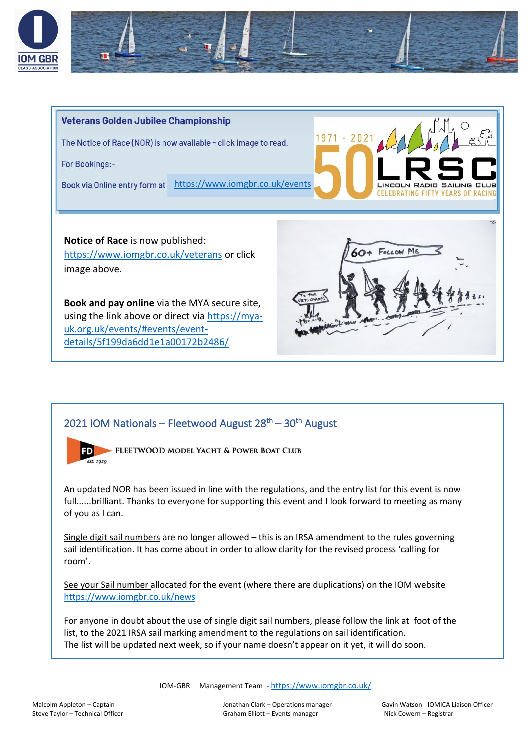

<span id="page-1-0"></span>

## <span id="page-1-1"></span>2021 IOM Nationals – Fleetwood August 28<sup>th</sup> – 30<sup>th</sup> August



An updated NOR has been issued in line with the regulations, and the entry list for this event is now full......brilliant. Thanks to everyone for supporting this event and I look forward to meeting as many of you as I can.

Single digit sail numbers are no longer allowed – this is an IRSA amendment to the rules governing sail identification. It has come about in order to allow clarity for the revised process 'calling for room'.

See your Sail number allocated for the event (where there are duplications) on the IOM website <https://www.iomgbr.co.uk/news>

For anyone in doubt about the use of single digit sail numbers, please follow the link at foot of the list, to the 2021 IRSA sail marking amendment to the regulations on sail identification. The list will be updated next week, so if your name doesn't appear on it yet, it will do soon.

IOM-GBR Management Team - <https://www.iomgbr.co.uk/>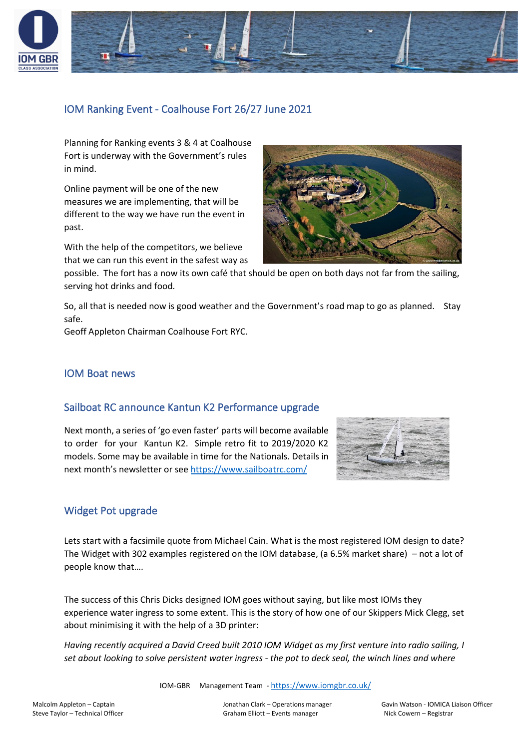

## IOM Ranking Event - Coalhouse Fort 26/27 June 2021

Planning for Ranking events 3 & 4 at Coalhouse Fort is underway with the Government's rules in mind.

Online payment will be one of the new measures we are implementing, that will be different to the way we have run the event in past.

With the help of the competitors, we believe that we can run this event in the safest way as



possible. The fort has a now its own café that should be open on both days not far from the sailing, serving hot drinks and food.

So, all that is needed now is good weather and the Government's road map to go as planned. Stay safe.

Geoff Appleton Chairman Coalhouse Fort RYC.

#### IOM Boat news

#### Sailboat RC announce Kantun K2 Performance upgrade

<span id="page-2-0"></span>Next month, a series of 'go even faster' parts will become available to order for your Kantun K2. Simple retro fit to 2019/2020 K2 models. Some may be available in time for the Nationals. Details in next month's newsletter or see<https://www.sailboatrc.com/>



#### <span id="page-2-1"></span>Widget Pot upgrade

Lets start with a facsimile quote from Michael Cain. What is the most registered IOM design to date? The Widget with 302 examples registered on the IOM database, (a 6.5% market share) – not a lot of people know that….

The success of this Chris Dicks designed IOM goes without saying, but like most IOMs they experience water ingress to some extent. This is the story of how one of our Skippers Mick Clegg, set about minimising it with the help of a 3D printer:

*Having recently acquired a David Creed built 2010 IOM Widget as my first venture into radio sailing, I set about looking to solve persistent water ingress - the pot to deck seal, the winch lines and where* 

IOM-GBR Management Team - <https://www.iomgbr.co.uk/>

Malcolm Appleton – Captain Jonathan Clark – Operations manager Gavin Watson - IOMICA Liaison Officer Steve Taylor – Technical Officer etc. Compared Graham Elliott – Events manager Nick Cowern – Registrar Compare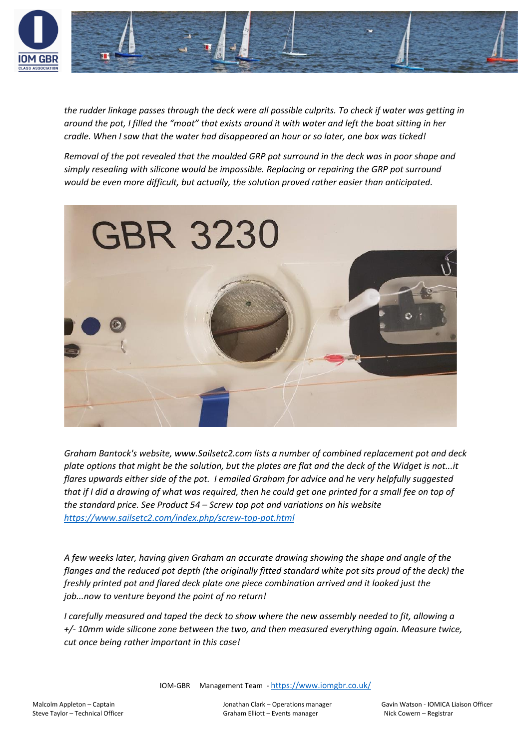

*the rudder linkage passes through the deck were all possible culprits. To check if water was getting in around the pot, I filled the "moat" that exists around it with water and left the boat sitting in her cradle. When I saw that the water had disappeared an hour or so later, one box was ticked!* 

*Removal of the pot revealed that the moulded GRP pot surround in the deck was in poor shape and simply resealing with silicone would be impossible. Replacing or repairing the GRP pot surround would be even more difficult, but actually, the solution proved rather easier than anticipated.* 



*Graham Bantock's website, www.Sailsetc2.com lists a number of combined replacement pot and deck plate options that might be the solution, but the plates are flat and the deck of the Widget is not...it flares upwards either side of the pot. I emailed Graham for advice and he very helpfully suggested that if I did a drawing of what was required, then he could get one printed for a small fee on top of the standard price. See Product 54 – Screw top pot and variations on his website <https://www.sailsetc2.com/index.php/screw-top-pot.html>*

*A few weeks later, having given Graham an accurate drawing showing the shape and angle of the flanges and the reduced pot depth (the originally fitted standard white pot sits proud of the deck) the freshly printed pot and flared deck plate one piece combination arrived and it looked just the job...now to venture beyond the point of no return!* 

*I carefully measured and taped the deck to show where the new assembly needed to fit, allowing a +/- 10mm wide silicone zone between the two, and then measured everything again. Measure twice, cut once being rather important in this case!*

IOM-GBR Management Team - <https://www.iomgbr.co.uk/>

Malcolm Appleton – Captain Jonathan Clark – Operations manager Gavin Watson - IOMICA Liaison Officer Steve Taylor – Technical Officer etc. Compared Graham Elliott – Events manager Nick Cowern – Registrar Compare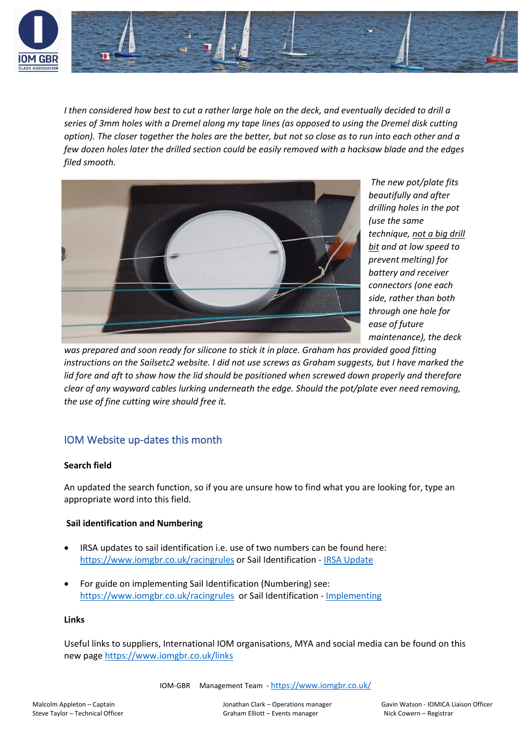

*I then considered how best to cut a rather large hole on the deck, and eventually decided to drill a series of 3mm holes with a Dremel along my tape lines (as opposed to using the Dremel disk cutting option). The closer together the holes are the better, but not so close as to run into each other and a few dozen holes later the drilled section could be easily removed with a hacksaw blade and the edges filed smooth.*



*The new pot/plate fits beautifully and after drilling holes in the pot (use the same technique, not a big drill bit and at low speed to prevent melting) for battery and receiver connectors (one each side, rather than both through one hole for ease of future maintenance), the deck* 

*was prepared and soon ready for silicone to stick it in place. Graham has provided good fitting instructions on the Sailsetc2 website. I did not use screws as Graham suggests, but I have marked the lid fore and aft to show how the lid should be positioned when screwed down properly and therefore clear of any wayward cables lurking underneath the edge. Should the pot/plate ever need removing, the use of fine cutting wire should free it.*

## <span id="page-4-0"></span>IOM Website up-dates this month

#### **Search field**

An updated the search function, so if you are unsure how to find what you are looking for, type an appropriate word into this field.

#### **Sail identification and Numbering**

- IRSA updates to sail identification i.e. use of two numbers can be found here: <https://www.iomgbr.co.uk/racingrules> or Sail Identification - [IRSA Update](https://06dd9b10-9188-44ea-b34d-e41ec7c1eef6.filesusr.com/ugd/fb01b5_72b612224e51402a850a380ea9cf71ae.pdf)
- For guide on implementing Sail Identification (Numbering) see: <https://www.iomgbr.co.uk/racingrules>or Sail Identification - [Implementing](https://06dd9b10-9188-44ea-b34d-e41ec7c1eef6.filesusr.com/ugd/fb01b5_fc01337f5b824c59ba0d1aa3ea51407a.pdf)

#### **Links**

Useful links to suppliers, International IOM organisations, MYA and social media can be found on this new page <https://www.iomgbr.co.uk/links>

IOM-GBR Management Team - <https://www.iomgbr.co.uk/>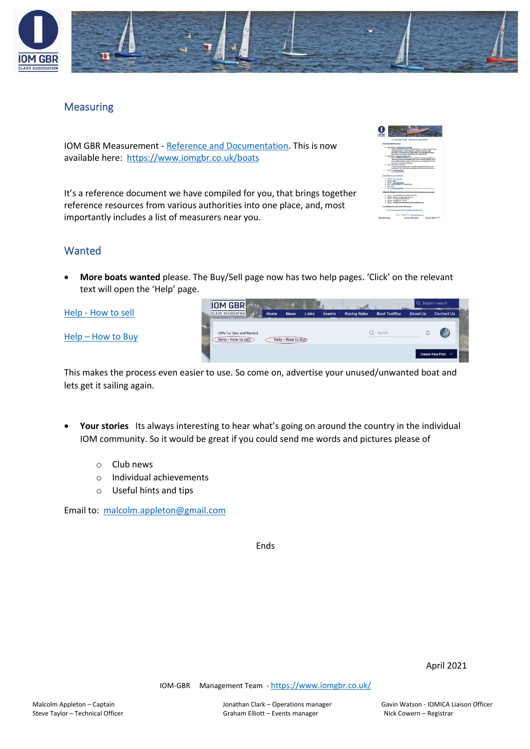

### **Measuring**

IOM GBR Measurement - [Reference and Documentation.](https://www.iomgbr.co.uk/boats) This is now available here:<https://www.iomgbr.co.uk/boats>

It's a reference document we have compiled for you, that brings together reference resources from various authorities into one place, and, most importantly includes a list of measurers near you.

| <b>MOBO</b>                                                                                                                                                                                                                                                                                                                                                                                                                                                                                                                                                                                                |  |
|------------------------------------------------------------------------------------------------------------------------------------------------------------------------------------------------------------------------------------------------------------------------------------------------------------------------------------------------------------------------------------------------------------------------------------------------------------------------------------------------------------------------------------------------------------------------------------------------------------|--|
| 10-M Gde hassaursmand - defenses and Essumantation                                                                                                                                                                                                                                                                                                                                                                                                                                                                                                                                                         |  |
| <b>Key Felevenet Deguments</b>                                                                                                                                                                                                                                                                                                                                                                                                                                                                                                                                                                             |  |
| . A send better - Could have Aust for Selling<br>- Steven refination of public Derest definitions - deputin inclusive sites<br>Griffation carrol. Official masurers personal certainties, jost<br>collisions, hull definitions and measurement. Hull assembles definitions<br>and twenty-wrong, his approach perfoldings and means hereon.<br>Here Seley - Messages Market 2202<br>٠<br>- DayTreat 4 at outlets united a whole communications and<br>results on accuracy and receiptionity and eco a six spoul uscanity. Did you<br>being an ESM painter weight in fund anights will weigh future score of |  |
| the horizons with the care stated<br>. Mid - Dea Sheaton Trailer<br>1. A 1974 That's decoration without the space specificant should entry sign.<br>uschling with the interaring and unsighing equipment that complements is<br>. Check-Californian                                                                                                                                                                                                                                                                                                                                                        |  |
| - For there and vity<br><b>Class Rules and Interpretation</b>                                                                                                                                                                                                                                                                                                                                                                                                                                                                                                                                              |  |
| c - Charles-Corp Avian Mills<br>$-$ Check - Co.s.<br>· excel-futurated<br>a Mid-194 Centerior of Canternates<br>* MAN-OLL<br>4 Min + Luxing Cars Auto the new tensor Announcement tensor tensor and                                                                                                                                                                                                                                                                                                                                                                                                        |  |
| Measurers/Denney - shedding and farms for registration agency researches                                                                                                                                                                                                                                                                                                                                                                                                                                                                                                                                   |  |
| 11 - Should - Should Wideler and measurement form.<br>. Charge Christian business that he<br>a chero, che del per più che in-<br>. EMEL-CALVAN-POWER<br>. Child .- Continue and measurement form for additional rigo                                                                                                                                                                                                                                                                                                                                                                                       |  |
| Lated Measures and protect information                                                                                                                                                                                                                                                                                                                                                                                                                                                                                                                                                                     |  |
| . Basic Chinese and the La Themped with the print The assembly for                                                                                                                                                                                                                                                                                                                                                                                                                                                                                                                                         |  |
| <b>CRAW MAINGROWTH 4</b>                                                                                                                                                                                                                                                                                                                                                                                                                                                                                                                                                                                   |  |
| <b>MARINEZI TARGET</b><br>han Wayn Vindicipes (Ray<br>Intellige Date Complete to San<br><b>Industrial Conditioners</b><br><b>Box (Will - White City)</b><br>Northeast - Behtler                                                                                                                                                                                                                                                                                                                                                                                                                            |  |

#### <span id="page-5-0"></span>Wanted

• **More boats wanted** please. The Buy/Sell page now has two help pages. 'Click' on the relevant text will open the 'Help' page.

Help - [How to sell](https://06dd9b10-9188-44ea-b34d-e41ec7c1eef6.filesusr.com/ugd/fb01b5_d18095dfe87441cd8bdaa0b3c2db9fc4.pdf)

Help – [How to Buy](https://06dd9b10-9188-44ea-b34d-e41ec7c1eef6.filesusr.com/ugd/fb01b5_d5bf6a31d68e43e3906c4a20ede23200.pdf)

**IOM GBR** Q Search **IOMs For Sale and Want** Help - How to sel Help - How to buy

This makes the process even easier to use. So come on, advertise your unused/unwanted boat and lets get it sailing again.

- Your stories Its always interesting to hear what's going on around the country in the individual IOM community. So it would be great if you could send me words and pictures please of
	- o Club news
	- o Individual achievements
	- o Useful hints and tips

Email to: [malcolm.appleton@gmail.com](mailto:malcolm.appleton@gmail.com)

Ends

April 2021